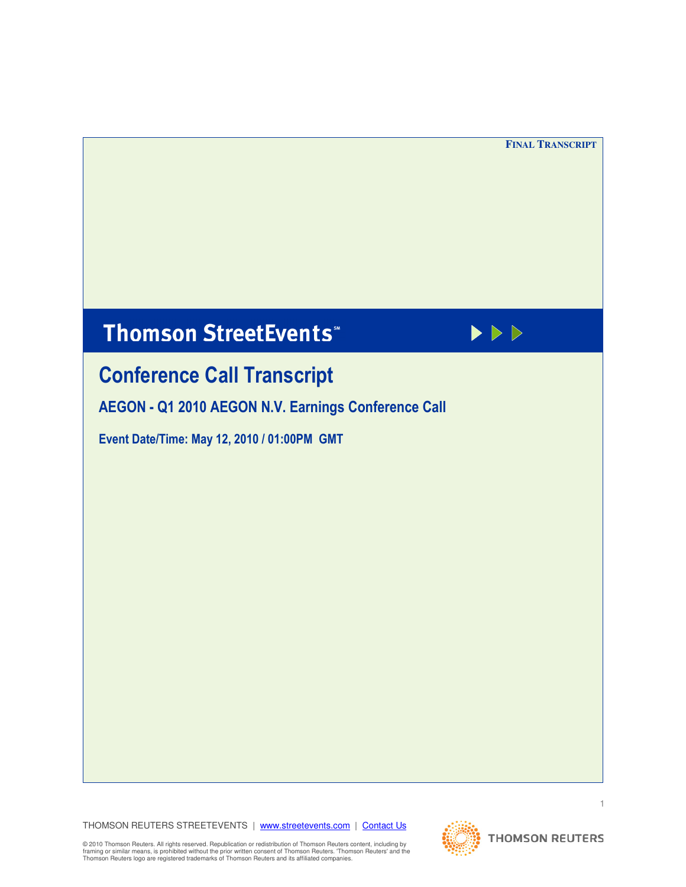$\blacktriangleright \triangleright \triangleright$ 

# **Thomson StreetEvents**\*



AEGON - Q1 2010 AEGON N.V. Earnings Conference Call

Event Date/Time: May 12, 2010 / 01:00PM GMT

THOMSON REUTERS STREETEVENTS | www.streetevents.com | Contact Us



2010 Thomson Reute<br>aming or similar mean<br>homson Reuters logo © 2010 Thomson Reuters. All rights reserved. Republication or redistribution of Thomson Reuters content, including by<br>framing or similar means, is prohibited without the prior written consent of Thomson Reuters. Thomson Re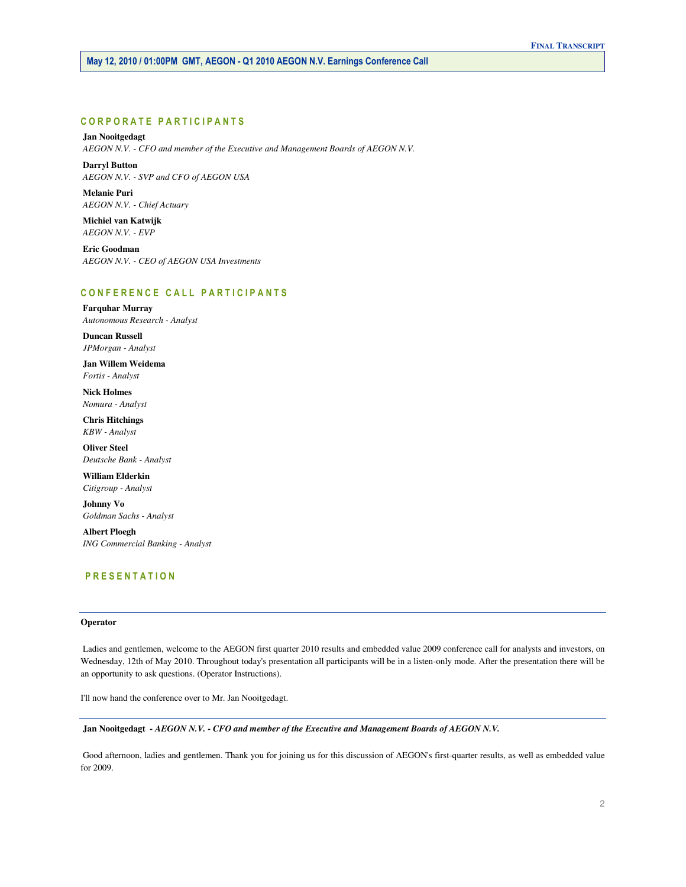# CORPORATE PARTICIPANTS

# **Jan Nooitgedagt**   *AEGON N.V. - CFO and member of the Executive and Management Boards of AEGON N.V.*

 **Darryl Button**   *AEGON N.V. - SVP and CFO of AEGON USA* 

 **Melanie Puri**   *AEGON N.V. - Chief Actuary* 

 **Michiel van Katwijk**   *AEGON N.V. - EVP* 

 **Eric Goodman**   *AEGON N.V. - CEO of AEGON USA Investments* 

# CONFERENCE CALL PARTICIPANTS

 **Farquhar Murray**   *Autonomous Research - Analyst* 

 **Duncan Russell**   *JPMorgan - Analyst* 

 **Jan Willem Weidema**   *Fortis - Analyst* 

 **Nick Holmes**   *Nomura - Analyst* 

 **Chris Hitchings**   *KBW - Analyst* 

 **Oliver Steel**   *Deutsche Bank - Analyst* 

 **William Elderkin**   *Citigroup - Analyst* 

 **Johnny Vo**   *Goldman Sachs - Analyst* 

 **Albert Ploegh**   *ING Commercial Banking - Analyst* 

# P R E S E N T A T I O N

#### **Operator**

 Ladies and gentlemen, welcome to the AEGON first quarter 2010 results and embedded value 2009 conference call for analysts and investors, on Wednesday, 12th of May 2010. Throughout today's presentation all participants will be in a listen-only mode. After the presentation there will be an opportunity to ask questions. (Operator Instructions).

I'll now hand the conference over to Mr. Jan Nooitgedagt.

 **Jan Nooitgedagt** *- AEGON N.V. - CFO and member of the Executive and Management Boards of AEGON N.V.* 

 Good afternoon, ladies and gentlemen. Thank you for joining us for this discussion of AEGON's first-quarter results, as well as embedded value for 2009.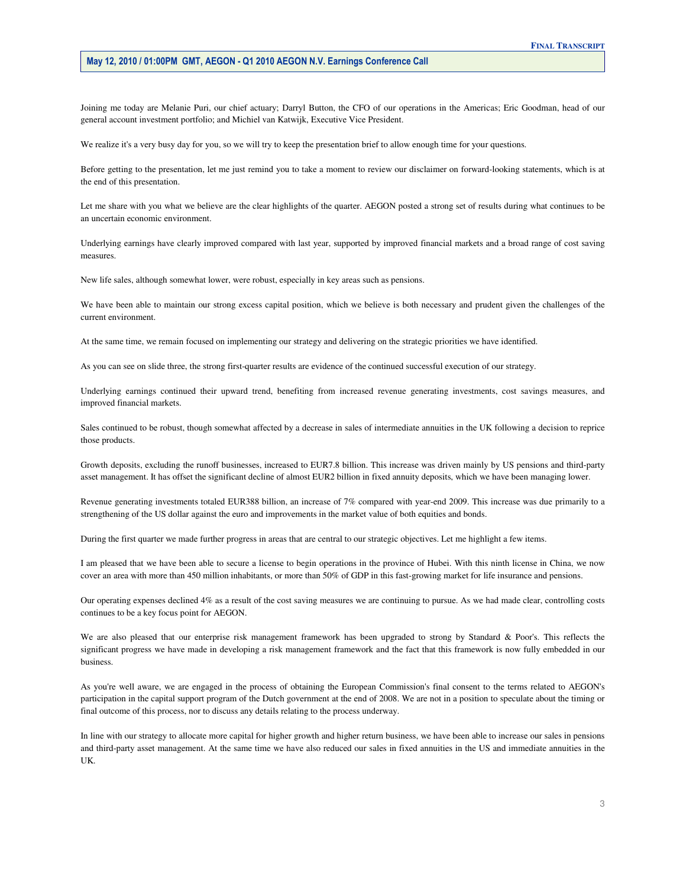Joining me today are Melanie Puri, our chief actuary; Darryl Button, the CFO of our operations in the Americas; Eric Goodman, head of our general account investment portfolio; and Michiel van Katwijk, Executive Vice President.

We realize it's a very busy day for you, so we will try to keep the presentation brief to allow enough time for your questions.

 Before getting to the presentation, let me just remind you to take a moment to review our disclaimer on forward-looking statements, which is at the end of this presentation.

 Let me share with you what we believe are the clear highlights of the quarter. AEGON posted a strong set of results during what continues to be an uncertain economic environment.

 Underlying earnings have clearly improved compared with last year, supported by improved financial markets and a broad range of cost saving measures.

New life sales, although somewhat lower, were robust, especially in key areas such as pensions.

 We have been able to maintain our strong excess capital position, which we believe is both necessary and prudent given the challenges of the current environment.

At the same time, we remain focused on implementing our strategy and delivering on the strategic priorities we have identified.

As you can see on slide three, the strong first-quarter results are evidence of the continued successful execution of our strategy.

 Underlying earnings continued their upward trend, benefiting from increased revenue generating investments, cost savings measures, and improved financial markets.

 Sales continued to be robust, though somewhat affected by a decrease in sales of intermediate annuities in the UK following a decision to reprice those products.

 Growth deposits, excluding the runoff businesses, increased to EUR7.8 billion. This increase was driven mainly by US pensions and third-party asset management. It has offset the significant decline of almost EUR2 billion in fixed annuity deposits, which we have been managing lower.

 Revenue generating investments totaled EUR388 billion, an increase of 7% compared with year-end 2009. This increase was due primarily to a strengthening of the US dollar against the euro and improvements in the market value of both equities and bonds.

During the first quarter we made further progress in areas that are central to our strategic objectives. Let me highlight a few items.

 I am pleased that we have been able to secure a license to begin operations in the province of Hubei. With this ninth license in China, we now cover an area with more than 450 million inhabitants, or more than 50% of GDP in this fast-growing market for life insurance and pensions.

 Our operating expenses declined 4% as a result of the cost saving measures we are continuing to pursue. As we had made clear, controlling costs continues to be a key focus point for AEGON.

 We are also pleased that our enterprise risk management framework has been upgraded to strong by Standard & Poor's. This reflects the significant progress we have made in developing a risk management framework and the fact that this framework is now fully embedded in our business.

 As you're well aware, we are engaged in the process of obtaining the European Commission's final consent to the terms related to AEGON's participation in the capital support program of the Dutch government at the end of 2008. We are not in a position to speculate about the timing or final outcome of this process, nor to discuss any details relating to the process underway.

 In line with our strategy to allocate more capital for higher growth and higher return business, we have been able to increase our sales in pensions and third-party asset management. At the same time we have also reduced our sales in fixed annuities in the US and immediate annuities in the UK.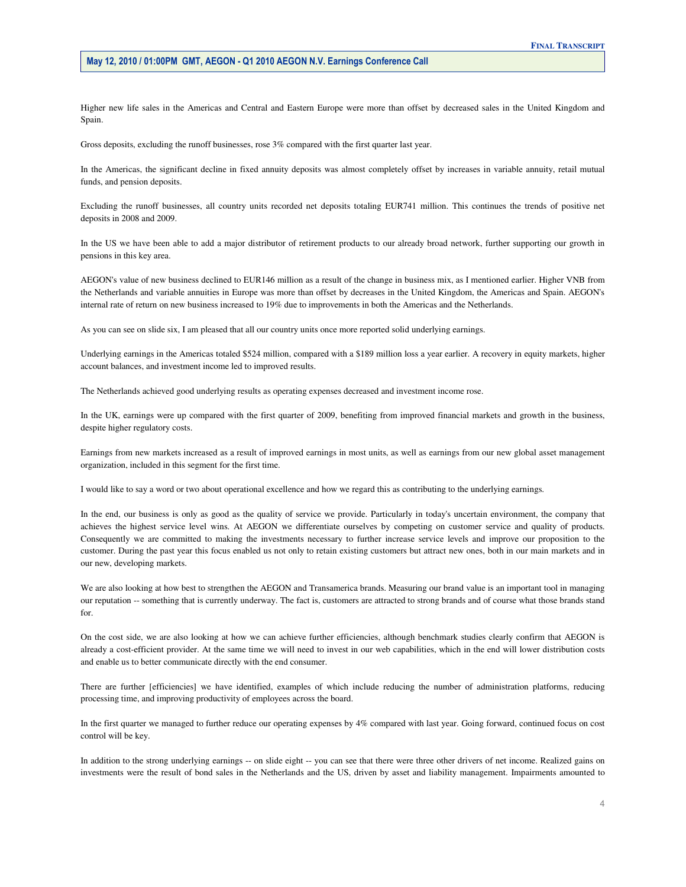Higher new life sales in the Americas and Central and Eastern Europe were more than offset by decreased sales in the United Kingdom and Spain.

Gross deposits, excluding the runoff businesses, rose 3% compared with the first quarter last year.

 In the Americas, the significant decline in fixed annuity deposits was almost completely offset by increases in variable annuity, retail mutual funds, and pension deposits.

 Excluding the runoff businesses, all country units recorded net deposits totaling EUR741 million. This continues the trends of positive net deposits in 2008 and 2009.

 In the US we have been able to add a major distributor of retirement products to our already broad network, further supporting our growth in pensions in this key area.

 AEGON's value of new business declined to EUR146 million as a result of the change in business mix, as I mentioned earlier. Higher VNB from the Netherlands and variable annuities in Europe was more than offset by decreases in the United Kingdom, the Americas and Spain. AEGON's internal rate of return on new business increased to 19% due to improvements in both the Americas and the Netherlands.

As you can see on slide six, I am pleased that all our country units once more reported solid underlying earnings.

 Underlying earnings in the Americas totaled \$524 million, compared with a \$189 million loss a year earlier. A recovery in equity markets, higher account balances, and investment income led to improved results.

The Netherlands achieved good underlying results as operating expenses decreased and investment income rose.

 In the UK, earnings were up compared with the first quarter of 2009, benefiting from improved financial markets and growth in the business, despite higher regulatory costs.

 Earnings from new markets increased as a result of improved earnings in most units, as well as earnings from our new global asset management organization, included in this segment for the first time.

I would like to say a word or two about operational excellence and how we regard this as contributing to the underlying earnings.

 In the end, our business is only as good as the quality of service we provide. Particularly in today's uncertain environment, the company that achieves the highest service level wins. At AEGON we differentiate ourselves by competing on customer service and quality of products. Consequently we are committed to making the investments necessary to further increase service levels and improve our proposition to the customer. During the past year this focus enabled us not only to retain existing customers but attract new ones, both in our main markets and in our new, developing markets.

 We are also looking at how best to strengthen the AEGON and Transamerica brands. Measuring our brand value is an important tool in managing our reputation -- something that is currently underway. The fact is, customers are attracted to strong brands and of course what those brands stand for.

 On the cost side, we are also looking at how we can achieve further efficiencies, although benchmark studies clearly confirm that AEGON is already a cost-efficient provider. At the same time we will need to invest in our web capabilities, which in the end will lower distribution costs and enable us to better communicate directly with the end consumer.

 There are further [efficiencies] we have identified, examples of which include reducing the number of administration platforms, reducing processing time, and improving productivity of employees across the board.

 In the first quarter we managed to further reduce our operating expenses by 4% compared with last year. Going forward, continued focus on cost control will be key.

 In addition to the strong underlying earnings -- on slide eight -- you can see that there were three other drivers of net income. Realized gains on investments were the result of bond sales in the Netherlands and the US, driven by asset and liability management. Impairments amounted to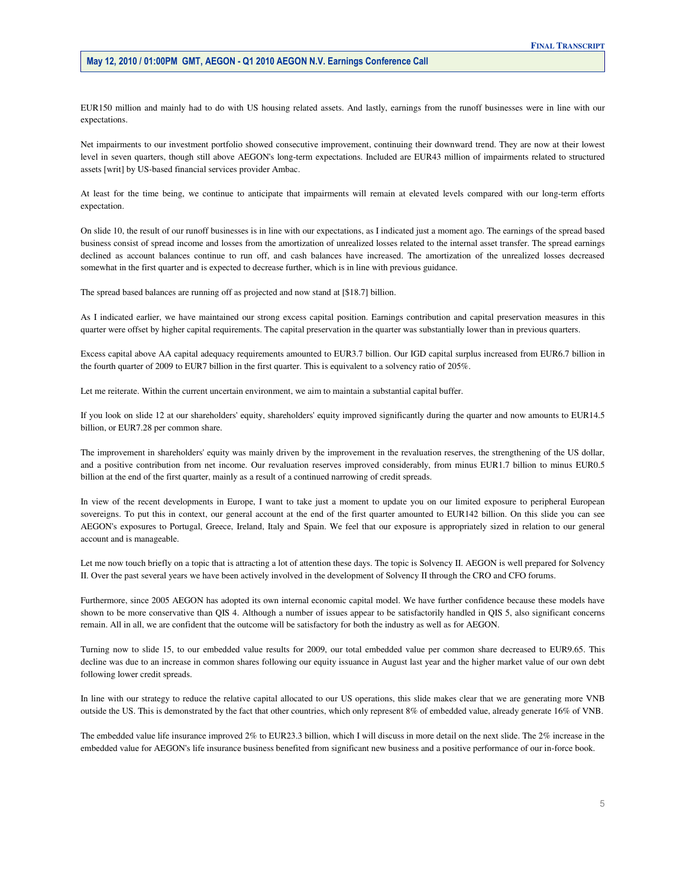EUR150 million and mainly had to do with US housing related assets. And lastly, earnings from the runoff businesses were in line with our expectations.

 Net impairments to our investment portfolio showed consecutive improvement, continuing their downward trend. They are now at their lowest level in seven quarters, though still above AEGON's long-term expectations. Included are EUR43 million of impairments related to structured assets [writ] by US-based financial services provider Ambac.

 At least for the time being, we continue to anticipate that impairments will remain at elevated levels compared with our long-term efforts expectation.

 On slide 10, the result of our runoff businesses is in line with our expectations, as I indicated just a moment ago. The earnings of the spread based business consist of spread income and losses from the amortization of unrealized losses related to the internal asset transfer. The spread earnings declined as account balances continue to run off, and cash balances have increased. The amortization of the unrealized losses decreased somewhat in the first quarter and is expected to decrease further, which is in line with previous guidance.

The spread based balances are running off as projected and now stand at [\$18.7] billion.

 As I indicated earlier, we have maintained our strong excess capital position. Earnings contribution and capital preservation measures in this quarter were offset by higher capital requirements. The capital preservation in the quarter was substantially lower than in previous quarters.

 Excess capital above AA capital adequacy requirements amounted to EUR3.7 billion. Our IGD capital surplus increased from EUR6.7 billion in the fourth quarter of 2009 to EUR7 billion in the first quarter. This is equivalent to a solvency ratio of 205%.

Let me reiterate. Within the current uncertain environment, we aim to maintain a substantial capital buffer.

 If you look on slide 12 at our shareholders' equity, shareholders' equity improved significantly during the quarter and now amounts to EUR14.5 billion, or EUR7.28 per common share.

 The improvement in shareholders' equity was mainly driven by the improvement in the revaluation reserves, the strengthening of the US dollar, and a positive contribution from net income. Our revaluation reserves improved considerably, from minus EUR1.7 billion to minus EUR0.5 billion at the end of the first quarter, mainly as a result of a continued narrowing of credit spreads.

 In view of the recent developments in Europe, I want to take just a moment to update you on our limited exposure to peripheral European sovereigns. To put this in context, our general account at the end of the first quarter amounted to EUR142 billion. On this slide you can see AEGON's exposures to Portugal, Greece, Ireland, Italy and Spain. We feel that our exposure is appropriately sized in relation to our general account and is manageable.

 Let me now touch briefly on a topic that is attracting a lot of attention these days. The topic is Solvency II. AEGON is well prepared for Solvency II. Over the past several years we have been actively involved in the development of Solvency II through the CRO and CFO forums.

 Furthermore, since 2005 AEGON has adopted its own internal economic capital model. We have further confidence because these models have shown to be more conservative than QIS 4. Although a number of issues appear to be satisfactorily handled in QIS 5, also significant concerns remain. All in all, we are confident that the outcome will be satisfactory for both the industry as well as for AEGON.

 Turning now to slide 15, to our embedded value results for 2009, our total embedded value per common share decreased to EUR9.65. This decline was due to an increase in common shares following our equity issuance in August last year and the higher market value of our own debt following lower credit spreads.

 In line with our strategy to reduce the relative capital allocated to our US operations, this slide makes clear that we are generating more VNB outside the US. This is demonstrated by the fact that other countries, which only represent 8% of embedded value, already generate 16% of VNB.

 The embedded value life insurance improved 2% to EUR23.3 billion, which I will discuss in more detail on the next slide. The 2% increase in the embedded value for AEGON's life insurance business benefited from significant new business and a positive performance of our in-force book.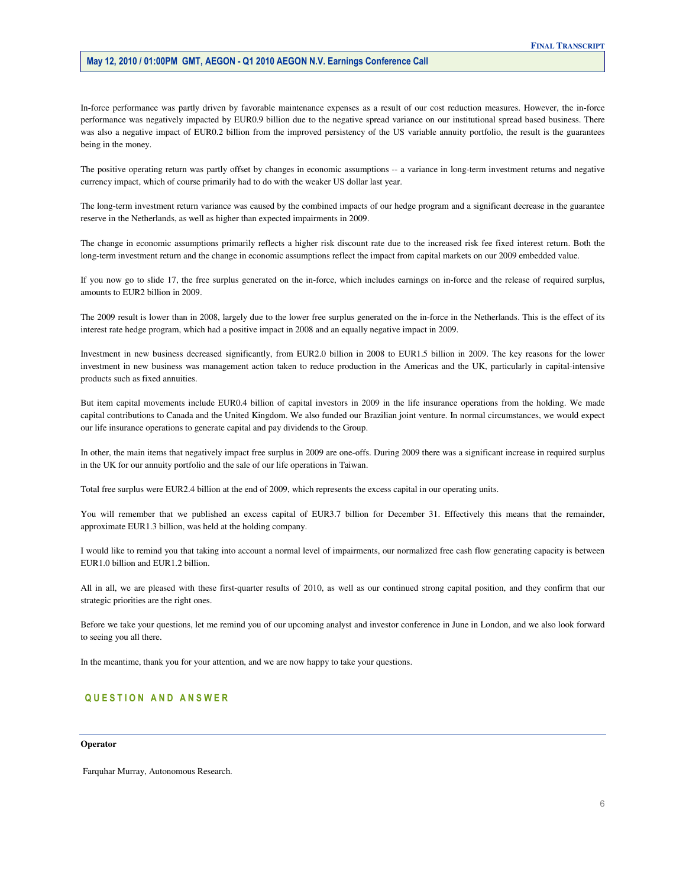In-force performance was partly driven by favorable maintenance expenses as a result of our cost reduction measures. However, the in-force performance was negatively impacted by EUR0.9 billion due to the negative spread variance on our institutional spread based business. There was also a negative impact of EUR0.2 billion from the improved persistency of the US variable annuity portfolio, the result is the guarantees being in the money.

 The positive operating return was partly offset by changes in economic assumptions -- a variance in long-term investment returns and negative currency impact, which of course primarily had to do with the weaker US dollar last year.

 The long-term investment return variance was caused by the combined impacts of our hedge program and a significant decrease in the guarantee reserve in the Netherlands, as well as higher than expected impairments in 2009.

 The change in economic assumptions primarily reflects a higher risk discount rate due to the increased risk fee fixed interest return. Both the long-term investment return and the change in economic assumptions reflect the impact from capital markets on our 2009 embedded value.

 If you now go to slide 17, the free surplus generated on the in-force, which includes earnings on in-force and the release of required surplus, amounts to EUR2 billion in 2009.

 The 2009 result is lower than in 2008, largely due to the lower free surplus generated on the in-force in the Netherlands. This is the effect of its interest rate hedge program, which had a positive impact in 2008 and an equally negative impact in 2009.

 Investment in new business decreased significantly, from EUR2.0 billion in 2008 to EUR1.5 billion in 2009. The key reasons for the lower investment in new business was management action taken to reduce production in the Americas and the UK, particularly in capital-intensive products such as fixed annuities.

 But item capital movements include EUR0.4 billion of capital investors in 2009 in the life insurance operations from the holding. We made capital contributions to Canada and the United Kingdom. We also funded our Brazilian joint venture. In normal circumstances, we would expect our life insurance operations to generate capital and pay dividends to the Group.

 In other, the main items that negatively impact free surplus in 2009 are one-offs. During 2009 there was a significant increase in required surplus in the UK for our annuity portfolio and the sale of our life operations in Taiwan.

Total free surplus were EUR2.4 billion at the end of 2009, which represents the excess capital in our operating units.

 You will remember that we published an excess capital of EUR3.7 billion for December 31. Effectively this means that the remainder, approximate EUR1.3 billion, was held at the holding company.

 I would like to remind you that taking into account a normal level of impairments, our normalized free cash flow generating capacity is between EUR1.0 billion and EUR1.2 billion.

 All in all, we are pleased with these first-quarter results of 2010, as well as our continued strong capital position, and they confirm that our strategic priorities are the right ones.

 Before we take your questions, let me remind you of our upcoming analyst and investor conference in June in London, and we also look forward to seeing you all there.

In the meantime, thank you for your attention, and we are now happy to take your questions.

# QUESTION AND ANSWER

#### **Operator**

Farquhar Murray, Autonomous Research.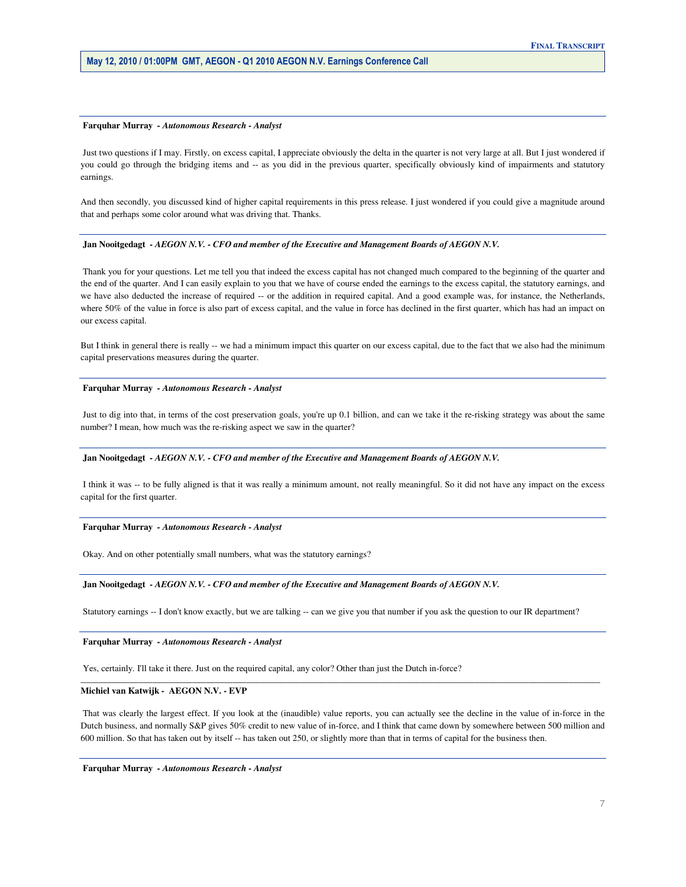#### **Farquhar Murray** *- Autonomous Research - Analyst*

 Just two questions if I may. Firstly, on excess capital, I appreciate obviously the delta in the quarter is not very large at all. But I just wondered if you could go through the bridging items and -- as you did in the previous quarter, specifically obviously kind of impairments and statutory earnings.

 And then secondly, you discussed kind of higher capital requirements in this press release. I just wondered if you could give a magnitude around that and perhaps some color around what was driving that. Thanks.

#### **Jan Nooitgedagt** *- AEGON N.V. - CFO and member of the Executive and Management Boards of AEGON N.V.*

 Thank you for your questions. Let me tell you that indeed the excess capital has not changed much compared to the beginning of the quarter and the end of the quarter. And I can easily explain to you that we have of course ended the earnings to the excess capital, the statutory earnings, and we have also deducted the increase of required -- or the addition in required capital. And a good example was, for instance, the Netherlands, where 50% of the value in force is also part of excess capital, and the value in force has declined in the first quarter, which has had an impact on our excess capital.

 But I think in general there is really -- we had a minimum impact this quarter on our excess capital, due to the fact that we also had the minimum capital preservations measures during the quarter.

#### **Farquhar Murray** *- Autonomous Research - Analyst*

Just to dig into that, in terms of the cost preservation goals, you're up 0.1 billion, and can we take it the re-risking strategy was about the same number? I mean, how much was the re-risking aspect we saw in the quarter?

#### **Jan Nooitgedagt** *- AEGON N.V. - CFO and member of the Executive and Management Boards of AEGON N.V.*

 I think it was -- to be fully aligned is that it was really a minimum amount, not really meaningful. So it did not have any impact on the excess capital for the first quarter.

#### **Farquhar Murray** *- Autonomous Research - Analyst*

Okay. And on other potentially small numbers, what was the statutory earnings?

#### **Jan Nooitgedagt** *- AEGON N.V. - CFO and member of the Executive and Management Boards of AEGON N.V.*

Statutory earnings -- I don't know exactly, but we are talking -- can we give you that number if you ask the question to our IR department?

 **Farquhar Murray** *- Autonomous Research - Analyst* 

Yes, certainly. I'll take it there. Just on the required capital, any color? Other than just the Dutch in-force?

#### **Michiel van Katwijk - AEGON N.V. - EVP**

 That was clearly the largest effect. If you look at the (inaudible) value reports, you can actually see the decline in the value of in-force in the Dutch business, and normally S&P gives 50% credit to new value of in-force, and I think that came down by somewhere between 500 million and 600 million. So that has taken out by itself -- has taken out 250, or slightly more than that in terms of capital for the business then.

\_\_\_\_\_\_\_\_\_\_\_\_\_\_\_\_\_\_\_\_\_\_\_\_\_\_\_\_\_\_\_\_\_\_\_\_\_\_\_\_\_\_\_\_\_\_\_\_\_\_\_\_\_\_\_\_\_\_\_\_\_\_\_\_\_\_\_\_\_\_\_\_\_\_\_\_\_\_\_\_\_\_\_\_\_\_\_\_\_\_\_\_\_\_\_\_\_\_\_\_\_\_\_\_\_\_\_\_\_\_\_\_\_\_\_\_

 **Farquhar Murray** *- Autonomous Research - Analyst*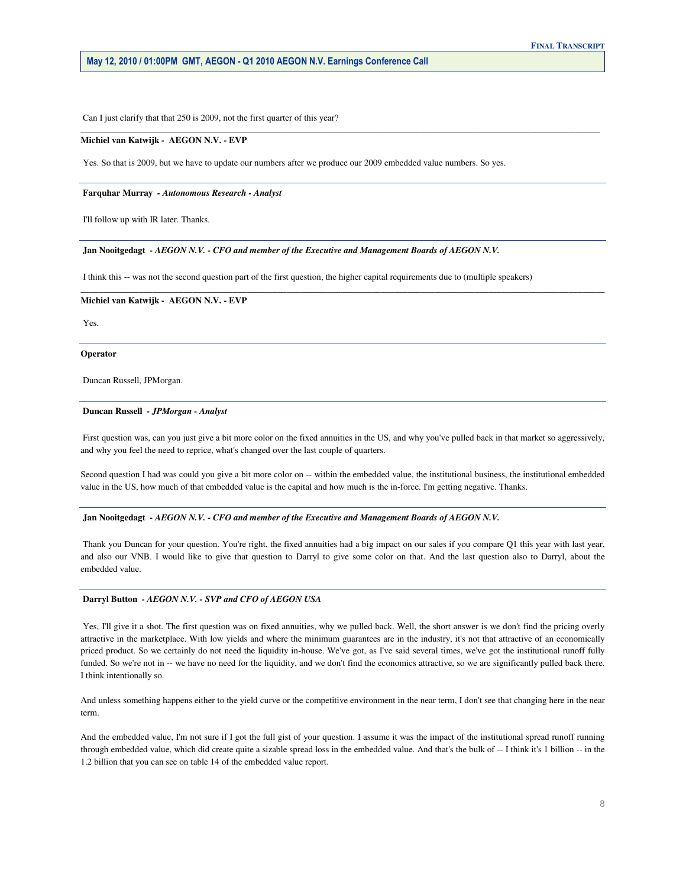Can I just clarify that that 250 is 2009, not the first quarter of this year?

#### **Michiel van Katwijk - AEGON N.V. - EVP**

Yes. So that is 2009, but we have to update our numbers after we produce our 2009 embedded value numbers. So yes.

\_\_\_\_\_\_\_\_\_\_\_\_\_\_\_\_\_\_\_\_\_\_\_\_\_\_\_\_\_\_\_\_\_\_\_\_\_\_\_\_\_\_\_\_\_\_\_\_\_\_\_\_\_\_\_\_\_\_\_\_\_\_\_\_\_\_\_\_\_\_\_\_\_\_\_\_\_\_\_\_\_\_\_\_\_\_\_\_\_\_\_\_\_\_\_\_\_\_\_\_\_\_\_\_\_\_\_\_\_\_\_\_\_\_\_\_

#### **Farquhar Murray** *- Autonomous Research - Analyst*

I'll follow up with IR later. Thanks.

#### **Jan Nooitgedagt** *- AEGON N.V. - CFO and member of the Executive and Management Boards of AEGON N.V.*

I think this -- was not the second question part of the first question, the higher capital requirements due to (multiple speakers)

#### **Michiel van Katwijk - AEGON N.V. - EVP**

Yes.

#### **Operator**

Duncan Russell, JPMorgan.

#### **Duncan Russell** *- JPMorgan - Analyst*

 First question was, can you just give a bit more color on the fixed annuities in the US, and why you've pulled back in that market so aggressively, and why you feel the need to reprice, what's changed over the last couple of quarters.

**\_\_\_\_\_\_\_\_\_\_\_\_\_\_\_\_\_\_\_\_\_\_\_\_\_\_\_\_\_\_\_\_\_\_\_\_\_\_\_\_\_\_\_\_\_\_\_\_\_\_\_\_\_\_\_\_\_\_\_\_\_\_\_\_\_\_\_\_\_\_\_\_\_\_\_\_\_\_\_\_\_\_\_\_\_\_\_\_\_\_\_\_\_\_\_\_\_\_\_\_\_\_\_\_\_\_\_\_\_\_\_\_\_\_\_\_\_** 

 Second question I had was could you give a bit more color on -- within the embedded value, the institutional business, the institutional embedded value in the US, how much of that embedded value is the capital and how much is the in-force. I'm getting negative. Thanks.

#### **Jan Nooitgedagt** *- AEGON N.V. - CFO and member of the Executive and Management Boards of AEGON N.V.*

Thank you Duncan for your question. You're right, the fixed annuities had a big impact on our sales if you compare Q1 this year with last year, and also our VNB. I would like to give that question to Darryl to give some color on that. And the last question also to Darryl, about the embedded value.

#### **Darryl Button** *- AEGON N.V. - SVP and CFO of AEGON USA*

Yes, I'll give it a shot. The first question was on fixed annuities, why we pulled back. Well, the short answer is we don't find the pricing overly attractive in the marketplace. With low yields and where the minimum guarantees are in the industry, it's not that attractive of an economically priced product. So we certainly do not need the liquidity in-house. We've got, as I've said several times, we've got the institutional runoff fully funded. So we're not in -- we have no need for the liquidity, and we don't find the economics attractive, so we are significantly pulled back there. I think intentionally so.

 And unless something happens either to the yield curve or the competitive environment in the near term, I don't see that changing here in the near term.

 And the embedded value, I'm not sure if I got the full gist of your question. I assume it was the impact of the institutional spread runoff running through embedded value, which did create quite a sizable spread loss in the embedded value. And that's the bulk of -- I think it's 1 billion -- in the 1.2 billion that you can see on table 14 of the embedded value report.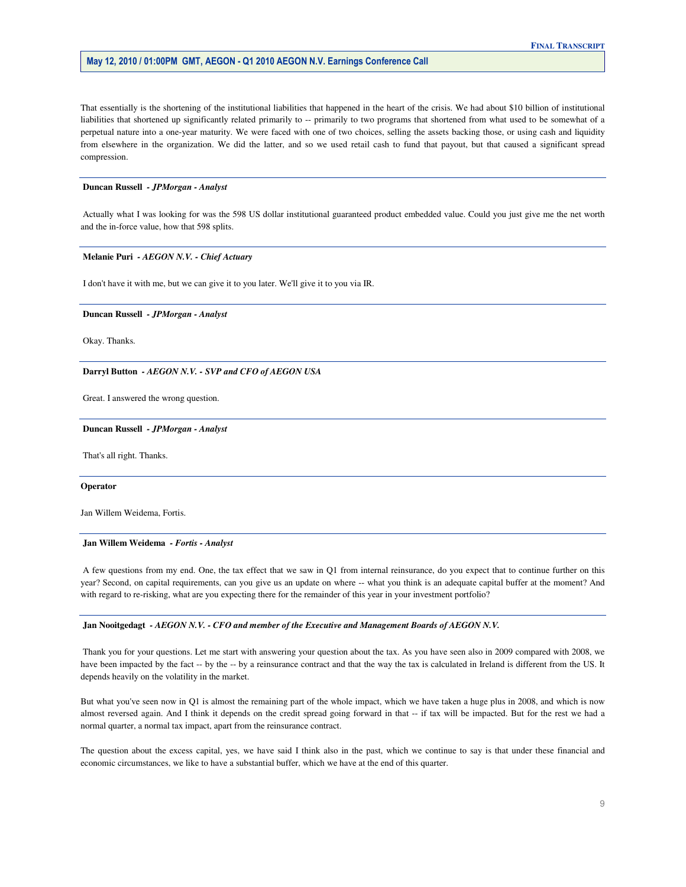That essentially is the shortening of the institutional liabilities that happened in the heart of the crisis. We had about \$10 billion of institutional liabilities that shortened up significantly related primarily to -- primarily to two programs that shortened from what used to be somewhat of a perpetual nature into a one-year maturity. We were faced with one of two choices, selling the assets backing those, or using cash and liquidity from elsewhere in the organization. We did the latter, and so we used retail cash to fund that payout, but that caused a significant spread compression.

#### **Duncan Russell** *- JPMorgan - Analyst*

 Actually what I was looking for was the 598 US dollar institutional guaranteed product embedded value. Could you just give me the net worth and the in-force value, how that 598 splits.

#### **Melanie Puri** *- AEGON N.V. - Chief Actuary*

I don't have it with me, but we can give it to you later. We'll give it to you via IR.

#### **Duncan Russell** *- JPMorgan - Analyst*

Okay. Thanks.

#### **Darryl Button** *- AEGON N.V. - SVP and CFO of AEGON USA*

Great. I answered the wrong question.

#### **Duncan Russell** *- JPMorgan - Analyst*

That's all right. Thanks.

#### **Operator**

Jan Willem Weidema, Fortis.

#### **Jan Willem Weidema** *- Fortis - Analyst*

 A few questions from my end. One, the tax effect that we saw in Q1 from internal reinsurance, do you expect that to continue further on this year? Second, on capital requirements, can you give us an update on where -- what you think is an adequate capital buffer at the moment? And with regard to re-risking, what are you expecting there for the remainder of this year in your investment portfolio?

#### **Jan Nooitgedagt** *- AEGON N.V. - CFO and member of the Executive and Management Boards of AEGON N.V.*

 Thank you for your questions. Let me start with answering your question about the tax. As you have seen also in 2009 compared with 2008, we have been impacted by the fact -- by the -- by a reinsurance contract and that the way the tax is calculated in Ireland is different from the US. It depends heavily on the volatility in the market.

 But what you've seen now in Q1 is almost the remaining part of the whole impact, which we have taken a huge plus in 2008, and which is now almost reversed again. And I think it depends on the credit spread going forward in that -- if tax will be impacted. But for the rest we had a normal quarter, a normal tax impact, apart from the reinsurance contract.

 The question about the excess capital, yes, we have said I think also in the past, which we continue to say is that under these financial and economic circumstances, we like to have a substantial buffer, which we have at the end of this quarter.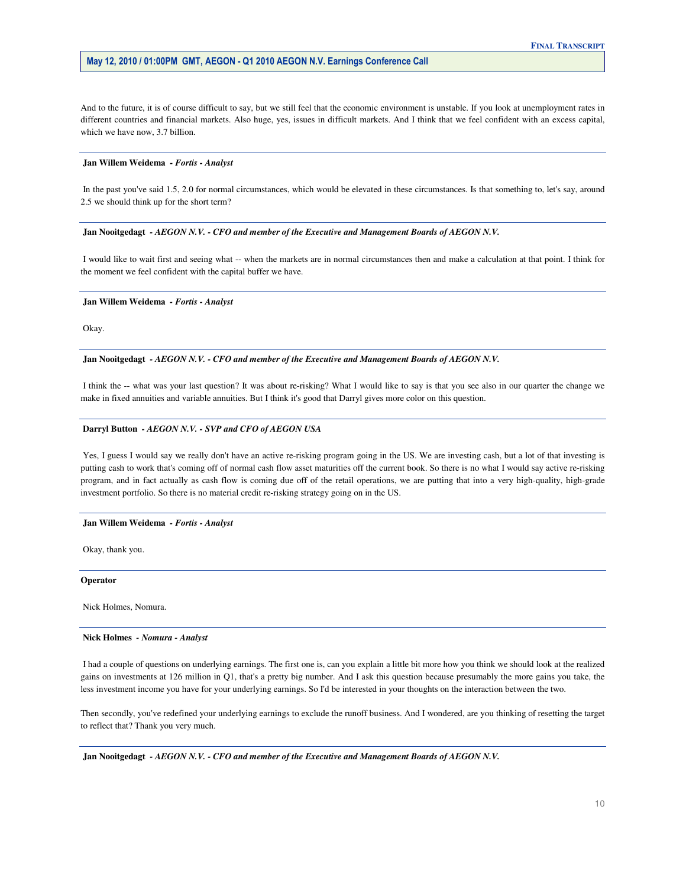And to the future, it is of course difficult to say, but we still feel that the economic environment is unstable. If you look at unemployment rates in different countries and financial markets. Also huge, yes, issues in difficult markets. And I think that we feel confident with an excess capital, which we have now, 3.7 billion.

#### **Jan Willem Weidema** *- Fortis - Analyst*

 In the past you've said 1.5, 2.0 for normal circumstances, which would be elevated in these circumstances. Is that something to, let's say, around 2.5 we should think up for the short term?

#### **Jan Nooitgedagt** *- AEGON N.V. - CFO and member of the Executive and Management Boards of AEGON N.V.*

 I would like to wait first and seeing what -- when the markets are in normal circumstances then and make a calculation at that point. I think for the moment we feel confident with the capital buffer we have.

#### **Jan Willem Weidema** *- Fortis - Analyst*

Okay.

#### **Jan Nooitgedagt** *- AEGON N.V. - CFO and member of the Executive and Management Boards of AEGON N.V.*

 I think the -- what was your last question? It was about re-risking? What I would like to say is that you see also in our quarter the change we make in fixed annuities and variable annuities. But I think it's good that Darryl gives more color on this question.

#### **Darryl Button** *- AEGON N.V. - SVP and CFO of AEGON USA*

Yes, I guess I would say we really don't have an active re-risking program going in the US. We are investing cash, but a lot of that investing is putting cash to work that's coming off of normal cash flow asset maturities off the current book. So there is no what I would say active re-risking program, and in fact actually as cash flow is coming due off of the retail operations, we are putting that into a very high-quality, high-grade investment portfolio. So there is no material credit re-risking strategy going on in the US.

#### **Jan Willem Weidema** *- Fortis - Analyst*

Okay, thank you.

#### **Operator**

Nick Holmes, Nomura.

#### **Nick Holmes** *- Nomura - Analyst*

 I had a couple of questions on underlying earnings. The first one is, can you explain a little bit more how you think we should look at the realized gains on investments at 126 million in Q1, that's a pretty big number. And I ask this question because presumably the more gains you take, the less investment income you have for your underlying earnings. So I'd be interested in your thoughts on the interaction between the two.

 Then secondly, you've redefined your underlying earnings to exclude the runoff business. And I wondered, are you thinking of resetting the target to reflect that? Thank you very much.

 **Jan Nooitgedagt** *- AEGON N.V. - CFO and member of the Executive and Management Boards of AEGON N.V.*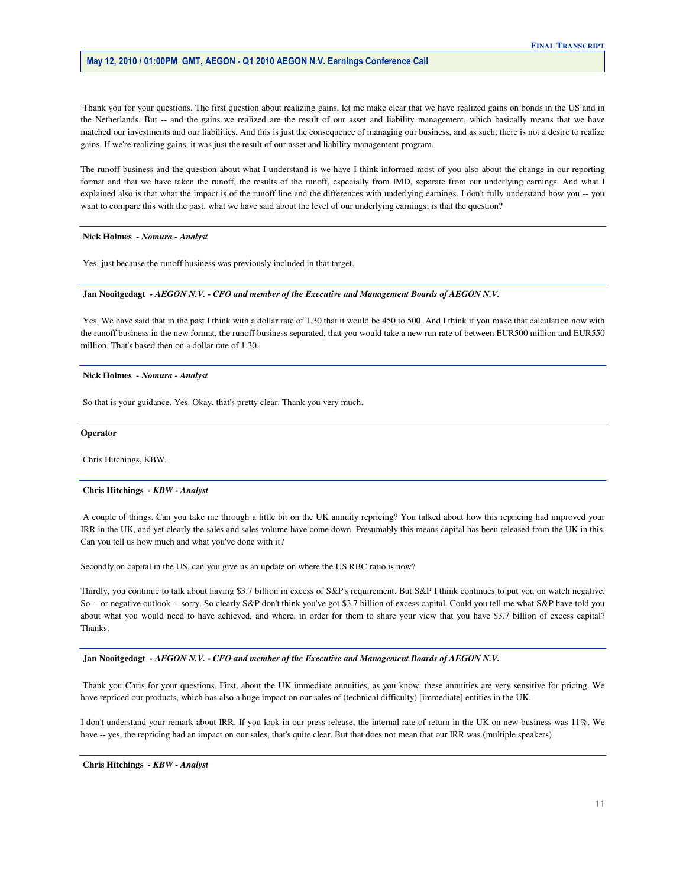Thank you for your questions. The first question about realizing gains, let me make clear that we have realized gains on bonds in the US and in the Netherlands. But -- and the gains we realized are the result of our asset and liability management, which basically means that we have matched our investments and our liabilities. And this is just the consequence of managing our business, and as such, there is not a desire to realize gains. If we're realizing gains, it was just the result of our asset and liability management program.

 The runoff business and the question about what I understand is we have I think informed most of you also about the change in our reporting format and that we have taken the runoff, the results of the runoff, especially from IMD, separate from our underlying earnings. And what I explained also is that what the impact is of the runoff line and the differences with underlying earnings. I don't fully understand how you -- you want to compare this with the past, what we have said about the level of our underlying earnings; is that the question?

 **Nick Holmes** *- Nomura - Analyst* 

Yes, just because the runoff business was previously included in that target.

#### **Jan Nooitgedagt** *- AEGON N.V. - CFO and member of the Executive and Management Boards of AEGON N.V.*

 Yes. We have said that in the past I think with a dollar rate of 1.30 that it would be 450 to 500. And I think if you make that calculation now with the runoff business in the new format, the runoff business separated, that you would take a new run rate of between EUR500 million and EUR550 million. That's based then on a dollar rate of 1.30.

#### **Nick Holmes** *- Nomura - Analyst*

So that is your guidance. Yes. Okay, that's pretty clear. Thank you very much.

#### **Operator**

Chris Hitchings, KBW.

#### **Chris Hitchings** *- KBW - Analyst*

 A couple of things. Can you take me through a little bit on the UK annuity repricing? You talked about how this repricing had improved your IRR in the UK, and yet clearly the sales and sales volume have come down. Presumably this means capital has been released from the UK in this. Can you tell us how much and what you've done with it?

Secondly on capital in the US, can you give us an update on where the US RBC ratio is now?

 Thirdly, you continue to talk about having \$3.7 billion in excess of S&P's requirement. But S&P I think continues to put you on watch negative. So -- or negative outlook -- sorry. So clearly S&P don't think you've got \$3.7 billion of excess capital. Could you tell me what S&P have told you about what you would need to have achieved, and where, in order for them to share your view that you have \$3.7 billion of excess capital? Thanks.

 **Jan Nooitgedagt** *- AEGON N.V. - CFO and member of the Executive and Management Boards of AEGON N.V.* 

 Thank you Chris for your questions. First, about the UK immediate annuities, as you know, these annuities are very sensitive for pricing. We have repriced our products, which has also a huge impact on our sales of (technical difficulty) [immediate] entities in the UK.

 I don't understand your remark about IRR. If you look in our press release, the internal rate of return in the UK on new business was 11%. We have -- yes, the repricing had an impact on our sales, that's quite clear. But that does not mean that our IRR was (multiple speakers)

 **Chris Hitchings** *- KBW - Analyst*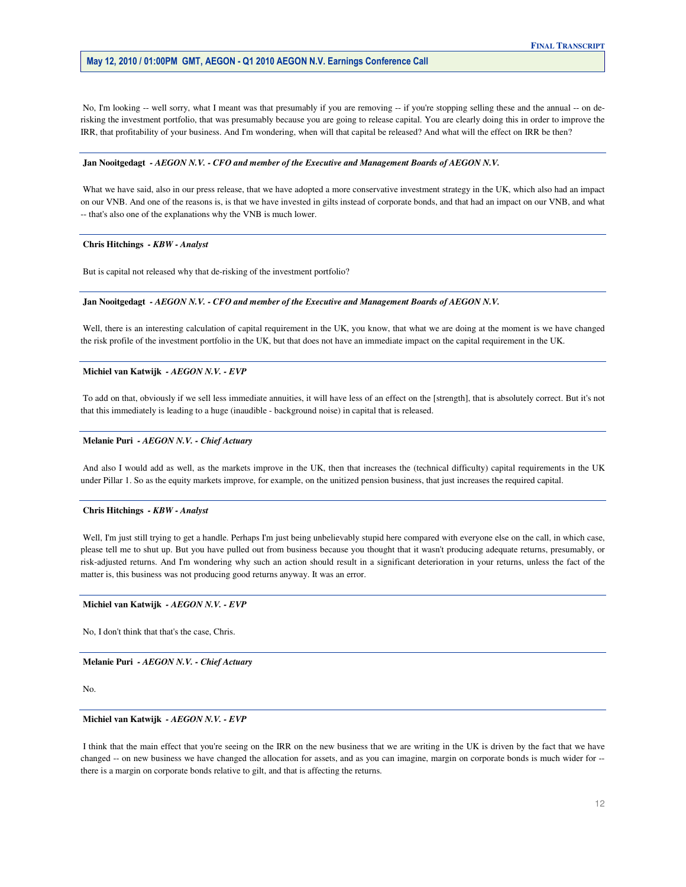No, I'm looking -- well sorry, what I meant was that presumably if you are removing -- if you're stopping selling these and the annual -- on de- risking the investment portfolio, that was presumably because you are going to release capital. You are clearly doing this in order to improve the IRR, that profitability of your business. And I'm wondering, when will that capital be released? And what will the effect on IRR be then?

#### **Jan Nooitgedagt** *- AEGON N.V. - CFO and member of the Executive and Management Boards of AEGON N.V.*

What we have said, also in our press release, that we have adopted a more conservative investment strategy in the UK, which also had an impact on our VNB. And one of the reasons is, is that we have invested in gilts instead of corporate bonds, and that had an impact on our VNB, and what -- that's also one of the explanations why the VNB is much lower.

#### **Chris Hitchings** *- KBW - Analyst*

But is capital not released why that de-risking of the investment portfolio?

#### **Jan Nooitgedagt** *- AEGON N.V. - CFO and member of the Executive and Management Boards of AEGON N.V.*

 Well, there is an interesting calculation of capital requirement in the UK, you know, that what we are doing at the moment is we have changed the risk profile of the investment portfolio in the UK, but that does not have an immediate impact on the capital requirement in the UK.

 **Michiel van Katwijk** *- AEGON N.V. - EVP* 

 To add on that, obviously if we sell less immediate annuities, it will have less of an effect on the [strength], that is absolutely correct. But it's not that this immediately is leading to a huge (inaudible - background noise) in capital that is released.

#### **Melanie Puri** *- AEGON N.V. - Chief Actuary*

 And also I would add as well, as the markets improve in the UK, then that increases the (technical difficulty) capital requirements in the UK under Pillar 1. So as the equity markets improve, for example, on the unitized pension business, that just increases the required capital.

#### **Chris Hitchings** *- KBW - Analyst*

Well, I'm just still trying to get a handle. Perhaps I'm just being unbelievably stupid here compared with everyone else on the call, in which case, please tell me to shut up. But you have pulled out from business because you thought that it wasn't producing adequate returns, presumably, or risk-adjusted returns. And I'm wondering why such an action should result in a significant deterioration in your returns, unless the fact of the matter is, this business was not producing good returns anyway. It was an error.

#### **Michiel van Katwijk** *- AEGON N.V. - EVP*

No, I don't think that that's the case, Chris.

 **Melanie Puri** *- AEGON N.V. - Chief Actuary* 

No.

#### **Michiel van Katwijk** *- AEGON N.V. - EVP*

I think that the main effect that you're seeing on the IRR on the new business that we are writing in the UK is driven by the fact that we have changed -- on new business we have changed the allocation for assets, and as you can imagine, margin on corporate bonds is much wider for --there is a margin on corporate bonds relative to gilt, and that is affecting the returns.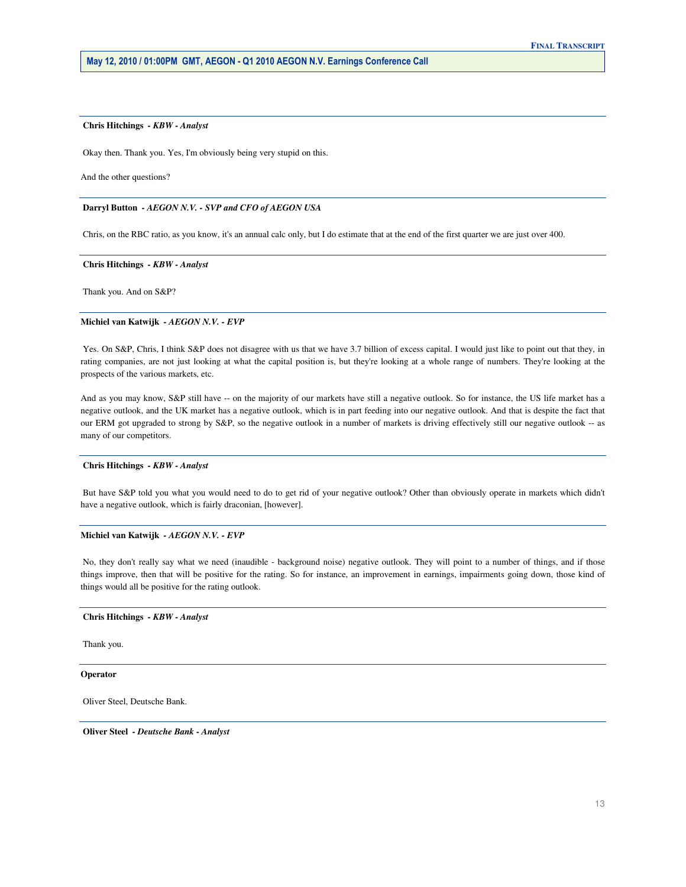#### **Chris Hitchings** *- KBW - Analyst*

Okay then. Thank you. Yes, I'm obviously being very stupid on this.

And the other questions?

#### **Darryl Button** *- AEGON N.V. - SVP and CFO of AEGON USA*

Chris, on the RBC ratio, as you know, it's an annual calc only, but I do estimate that at the end of the first quarter we are just over 400.

#### **Chris Hitchings** *- KBW - Analyst*

Thank you. And on S&P?

#### **Michiel van Katwijk** *- AEGON N.V. - EVP*

Yes. On S&P, Chris, I think S&P does not disagree with us that we have 3.7 billion of excess capital. I would just like to point out that they, in rating companies, are not just looking at what the capital position is, but they're looking at a whole range of numbers. They're looking at the prospects of the various markets, etc.

 And as you may know, S&P still have -- on the majority of our markets have still a negative outlook. So for instance, the US life market has a negative outlook, and the UK market has a negative outlook, which is in part feeding into our negative outlook. And that is despite the fact that our ERM got upgraded to strong by S&P, so the negative outlook in a number of markets is driving effectively still our negative outlook -- as many of our competitors.

#### **Chris Hitchings** *- KBW - Analyst*

 But have S&P told you what you would need to do to get rid of your negative outlook? Other than obviously operate in markets which didn't have a negative outlook, which is fairly draconian, [however].

#### **Michiel van Katwijk** *- AEGON N.V. - EVP*

 No, they don't really say what we need (inaudible - background noise) negative outlook. They will point to a number of things, and if those things improve, then that will be positive for the rating. So for instance, an improvement in earnings, impairments going down, those kind of things would all be positive for the rating outlook.

#### **Chris Hitchings** *- KBW - Analyst*

Thank you.

#### **Operator**

Oliver Steel, Deutsche Bank.

 **Oliver Steel** *- Deutsche Bank - Analyst*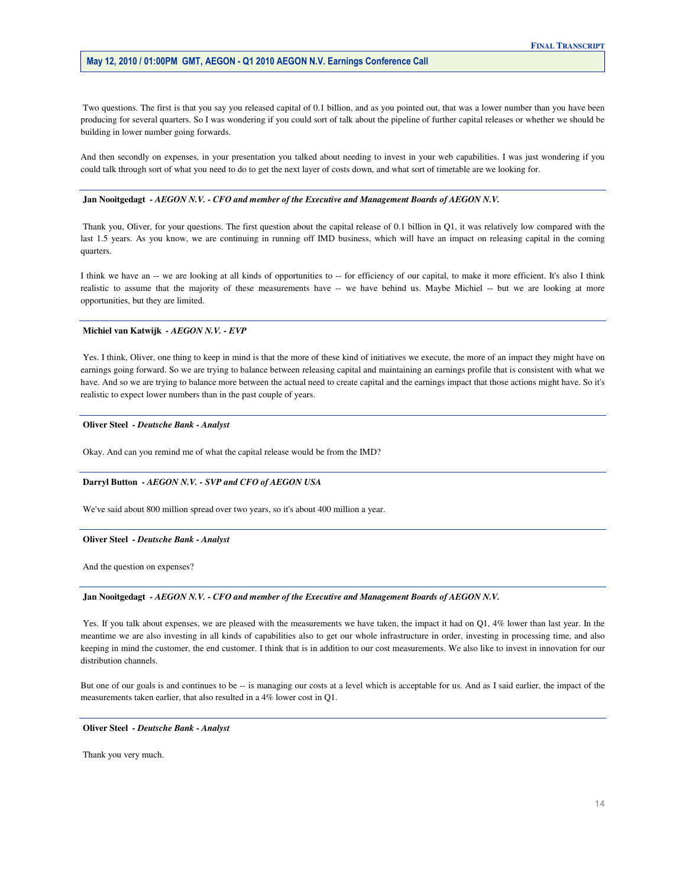Two questions. The first is that you say you released capital of 0.1 billion, and as you pointed out, that was a lower number than you have been producing for several quarters. So I was wondering if you could sort of talk about the pipeline of further capital releases or whether we should be building in lower number going forwards.

 And then secondly on expenses, in your presentation you talked about needing to invest in your web capabilities. I was just wondering if you could talk through sort of what you need to do to get the next layer of costs down, and what sort of timetable are we looking for.

#### **Jan Nooitgedagt** *- AEGON N.V. - CFO and member of the Executive and Management Boards of AEGON N.V.*

 Thank you, Oliver, for your questions. The first question about the capital release of 0.1 billion in Q1, it was relatively low compared with the last 1.5 years. As you know, we are continuing in running off IMD business, which will have an impact on releasing capital in the coming quarters.

I think we have an -- we are looking at all kinds of opportunities to -- for efficiency of our capital, to make it more efficient. It's also I think realistic to assume that the majority of these measurements have -- we have behind us. Maybe Michiel -- but we are looking at more opportunities, but they are limited.

#### **Michiel van Katwijk** *- AEGON N.V. - EVP*

 Yes. I think, Oliver, one thing to keep in mind is that the more of these kind of initiatives we execute, the more of an impact they might have on earnings going forward. So we are trying to balance between releasing capital and maintaining an earnings profile that is consistent with what we have. And so we are trying to balance more between the actual need to create capital and the earnings impact that those actions might have. So it's realistic to expect lower numbers than in the past couple of years.

#### **Oliver Steel** *- Deutsche Bank - Analyst*

Okay. And can you remind me of what the capital release would be from the IMD?

#### **Darryl Button** *- AEGON N.V. - SVP and CFO of AEGON USA*

We've said about 800 million spread over two years, so it's about 400 million a year.

#### **Oliver Steel** *- Deutsche Bank - Analyst*

And the question on expenses?

#### **Jan Nooitgedagt** *- AEGON N.V. - CFO and member of the Executive and Management Boards of AEGON N.V.*

Yes. If you talk about expenses, we are pleased with the measurements we have taken, the impact it had on Q1, 4% lower than last year. In the meantime we are also investing in all kinds of capabilities also to get our whole infrastructure in order, investing in processing time, and also keeping in mind the customer, the end customer. I think that is in addition to our cost measurements. We also like to invest in innovation for our distribution channels.

 But one of our goals is and continues to be -- is managing our costs at a level which is acceptable for us. And as I said earlier, the impact of the measurements taken earlier, that also resulted in a 4% lower cost in Q1.

#### **Oliver Steel** *- Deutsche Bank - Analyst*

Thank you very much.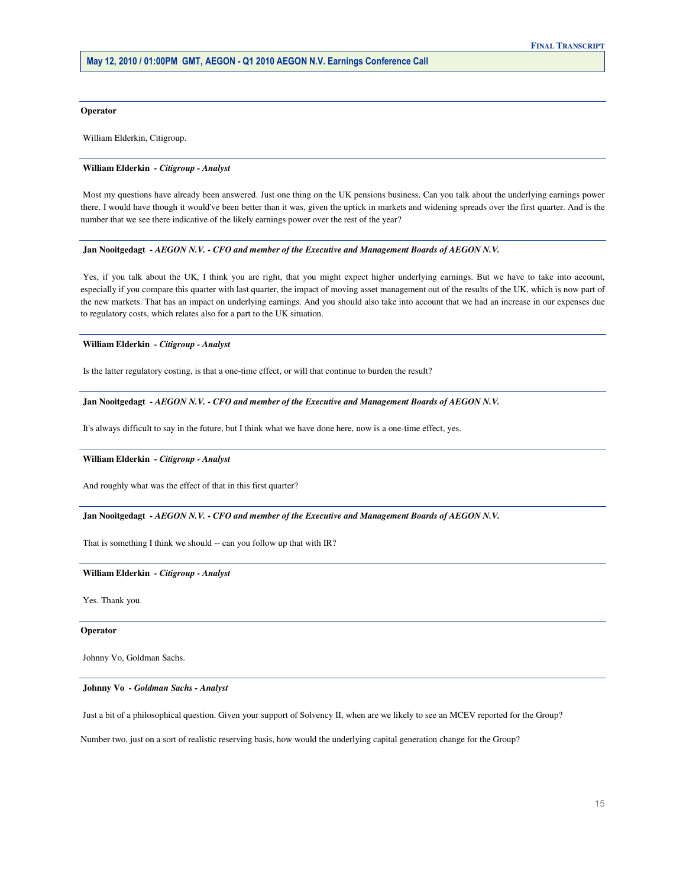#### **Operator**

William Elderkin, Citigroup.

#### **William Elderkin** *- Citigroup - Analyst*

 Most my questions have already been answered. Just one thing on the UK pensions business. Can you talk about the underlying earnings power there. I would have though it would've been better than it was, given the uptick in markets and widening spreads over the first quarter. And is the number that we see there indicative of the likely earnings power over the rest of the year?

#### **Jan Nooitgedagt** *- AEGON N.V. - CFO and member of the Executive and Management Boards of AEGON N.V.*

 Yes, if you talk about the UK, I think you are right, that you might expect higher underlying earnings. But we have to take into account, especially if you compare this quarter with last quarter, the impact of moving asset management out of the results of the UK, which is now part of the new markets. That has an impact on underlying earnings. And you should also take into account that we had an increase in our expenses due to regulatory costs, which relates also for a part to the UK situation.

#### **William Elderkin** *- Citigroup - Analyst*

Is the latter regulatory costing, is that a one-time effect, or will that continue to burden the result?

#### **Jan Nooitgedagt** *- AEGON N.V. - CFO and member of the Executive and Management Boards of AEGON N.V.*

It's always difficult to say in the future, but I think what we have done here, now is a one-time effect, yes.

#### **William Elderkin** *- Citigroup - Analyst*

And roughly what was the effect of that in this first quarter?

 **Jan Nooitgedagt** *- AEGON N.V. - CFO and member of the Executive and Management Boards of AEGON N.V.* 

That is something I think we should -- can you follow up that with IR?

#### **William Elderkin** *- Citigroup - Analyst*

Yes. Thank you.

#### **Operator**

Johnny Vo, Goldman Sachs.

 **Johnny Vo** *- Goldman Sachs - Analyst* 

Just a bit of a philosophical question. Given your support of Solvency II, when are we likely to see an MCEV reported for the Group?

Number two, just on a sort of realistic reserving basis, how would the underlying capital generation change for the Group?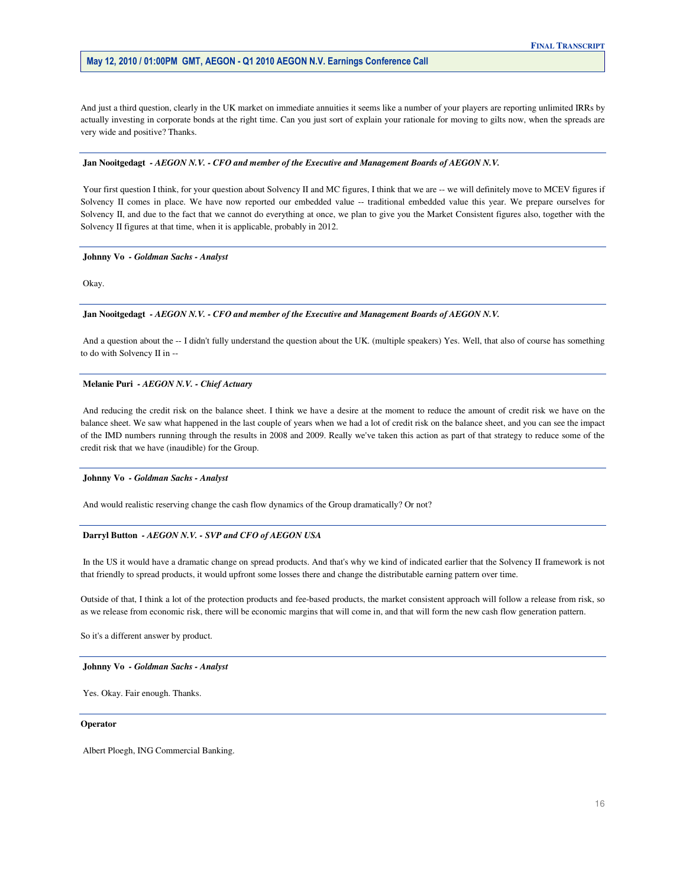And just a third question, clearly in the UK market on immediate annuities it seems like a number of your players are reporting unlimited IRRs by actually investing in corporate bonds at the right time. Can you just sort of explain your rationale for moving to gilts now, when the spreads are very wide and positive? Thanks.

# **Jan Nooitgedagt** *- AEGON N.V. - CFO and member of the Executive and Management Boards of AEGON N.V.*

Your first question I think, for your question about Solvency II and MC figures, I think that we are -- we will definitely move to MCEV figures if Solvency II comes in place. We have now reported our embedded value -- traditional embedded value this year. We prepare ourselves for Solvency II, and due to the fact that we cannot do everything at once, we plan to give you the Market Consistent figures also, together with the Solvency II figures at that time, when it is applicable, probably in 2012.

# **Johnny Vo** *- Goldman Sachs - Analyst*

Okay.

# **Jan Nooitgedagt** *- AEGON N.V. - CFO and member of the Executive and Management Boards of AEGON N.V.*

 And a question about the -- I didn't fully understand the question about the UK. (multiple speakers) Yes. Well, that also of course has something to do with Solvency II in -

# **Melanie Puri** *- AEGON N.V. - Chief Actuary*

 And reducing the credit risk on the balance sheet. I think we have a desire at the moment to reduce the amount of credit risk we have on the balance sheet. We saw what happened in the last couple of years when we had a lot of credit risk on the balance sheet, and you can see the impact of the IMD numbers running through the results in 2008 and 2009. Really we've taken this action as part of that strategy to reduce some of the credit risk that we have (inaudible) for the Group.

#### **Johnny Vo** *- Goldman Sachs - Analyst*

And would realistic reserving change the cash flow dynamics of the Group dramatically? Or not?

# **Darryl Button** *- AEGON N.V. - SVP and CFO of AEGON USA*

 In the US it would have a dramatic change on spread products. And that's why we kind of indicated earlier that the Solvency II framework is not that friendly to spread products, it would upfront some losses there and change the distributable earning pattern over time.

 Outside of that, I think a lot of the protection products and fee-based products, the market consistent approach will follow a release from risk, so as we release from economic risk, there will be economic margins that will come in, and that will form the new cash flow generation pattern.

So it's a different answer by product.

#### **Johnny Vo** *- Goldman Sachs - Analyst*

Yes. Okay. Fair enough. Thanks.

#### **Operator**

Albert Ploegh, ING Commercial Banking.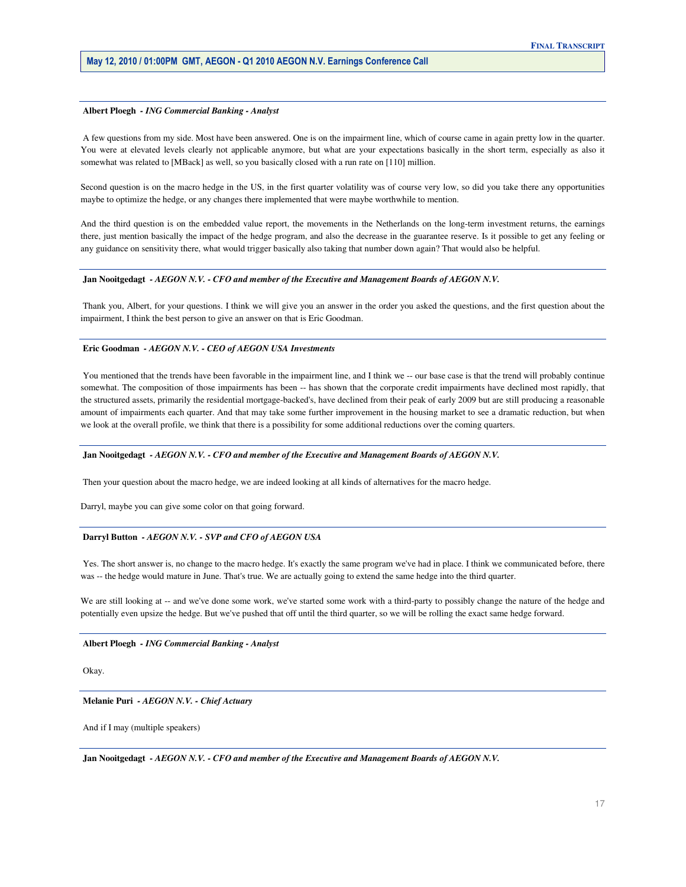#### **Albert Ploegh** *- ING Commercial Banking - Analyst*

 A few questions from my side. Most have been answered. One is on the impairment line, which of course came in again pretty low in the quarter. You were at elevated levels clearly not applicable anymore, but what are your expectations basically in the short term, especially as also it somewhat was related to [MBack] as well, so you basically closed with a run rate on [110] million.

 Second question is on the macro hedge in the US, in the first quarter volatility was of course very low, so did you take there any opportunities maybe to optimize the hedge, or any changes there implemented that were maybe worthwhile to mention.

 And the third question is on the embedded value report, the movements in the Netherlands on the long-term investment returns, the earnings there, just mention basically the impact of the hedge program, and also the decrease in the guarantee reserve. Is it possible to get any feeling or any guidance on sensitivity there, what would trigger basically also taking that number down again? That would also be helpful.

#### **Jan Nooitgedagt** *- AEGON N.V. - CFO and member of the Executive and Management Boards of AEGON N.V.*

 Thank you, Albert, for your questions. I think we will give you an answer in the order you asked the questions, and the first question about the impairment, I think the best person to give an answer on that is Eric Goodman.

#### **Eric Goodman** *- AEGON N.V. - CEO of AEGON USA Investments*

You mentioned that the trends have been favorable in the impairment line, and I think we -- our base case is that the trend will probably continue somewhat. The composition of those impairments has been -- has shown that the corporate credit impairments have declined most rapidly, that the structured assets, primarily the residential mortgage-backed's, have declined from their peak of early 2009 but are still producing a reasonable amount of impairments each quarter. And that may take some further improvement in the housing market to see a dramatic reduction, but when we look at the overall profile, we think that there is a possibility for some additional reductions over the coming quarters.

#### **Jan Nooitgedagt** *- AEGON N.V. - CFO and member of the Executive and Management Boards of AEGON N.V.*

Then your question about the macro hedge, we are indeed looking at all kinds of alternatives for the macro hedge.

Darryl, maybe you can give some color on that going forward.

#### **Darryl Button** *- AEGON N.V. - SVP and CFO of AEGON USA*

 Yes. The short answer is, no change to the macro hedge. It's exactly the same program we've had in place. I think we communicated before, there was -- the hedge would mature in June. That's true. We are actually going to extend the same hedge into the third quarter.

We are still looking at -- and we've done some work, we've started some work with a third-party to possibly change the nature of the hedge and potentially even upsize the hedge. But we've pushed that off until the third quarter, so we will be rolling the exact same hedge forward.

 **Albert Ploegh** *- ING Commercial Banking - Analyst* 

Okay.

 **Melanie Puri** *- AEGON N.V. - Chief Actuary* 

And if I may (multiple speakers)

 **Jan Nooitgedagt** *- AEGON N.V. - CFO and member of the Executive and Management Boards of AEGON N.V.*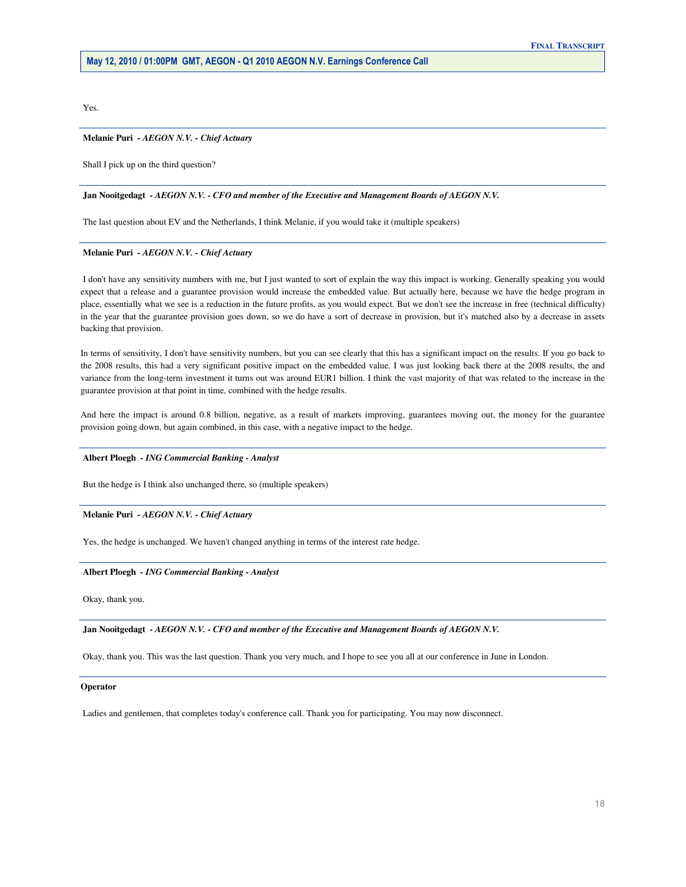Yes.

#### **Melanie Puri** *- AEGON N.V. - Chief Actuary*

Shall I pick up on the third question?

#### **Jan Nooitgedagt** *- AEGON N.V. - CFO and member of the Executive and Management Boards of AEGON N.V.*

The last question about EV and the Netherlands, I think Melanie, if you would take it (multiple speakers)

#### **Melanie Puri** *- AEGON N.V. - Chief Actuary*

 I don't have any sensitivity numbers with me, but I just wanted to sort of explain the way this impact is working. Generally speaking you would expect that a release and a guarantee provision would increase the embedded value. But actually here, because we have the hedge program in place, essentially what we see is a reduction in the future profits, as you would expect. But we don't see the increase in free (technical difficulty) in the year that the guarantee provision goes down, so we do have a sort of decrease in provision, but it's matched also by a decrease in assets backing that provision.

 In terms of sensitivity, I don't have sensitivity numbers, but you can see clearly that this has a significant impact on the results. If you go back to the 2008 results, this had a very significant positive impact on the embedded value. I was just looking back there at the 2008 results, the and variance from the long-term investment it turns out was around EUR1 billion. I think the vast majority of that was related to the increase in the guarantee provision at that point in time, combined with the hedge results.

 And here the impact is around 0.8 billion, negative, as a result of markets improving, guarantees moving out, the money for the guarantee provision going down, but again combined, in this case, with a negative impact to the hedge.

#### **Albert Ploegh** *- ING Commercial Banking - Analyst*

But the hedge is I think also unchanged there, so (multiple speakers)

#### **Melanie Puri** *- AEGON N.V. - Chief Actuary*

Yes, the hedge is unchanged. We haven't changed anything in terms of the interest rate hedge.

#### **Albert Ploegh** *- ING Commercial Banking - Analyst*

Okay, thank you.

 **Jan Nooitgedagt** *- AEGON N.V. - CFO and member of the Executive and Management Boards of AEGON N.V.* 

Okay, thank you. This was the last question. Thank you very much, and I hope to see you all at our conference in June in London.

#### **Operator**

Ladies and gentlemen, that completes today's conference call. Thank you for participating. You may now disconnect.